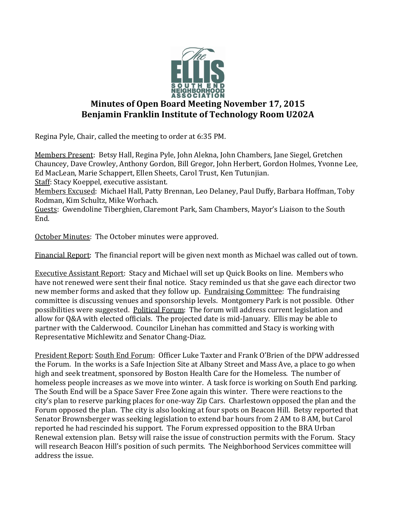

## **Minutes of Open Board Meeting November 17, 2015 Benjamin Franklin Institute of Technology Room U202A**

Regina Pyle, Chair, called the meeting to order at 6:35 PM.

Members Present: Betsy Hall, Regina Pyle, John Alekna, John Chambers, Jane Siegel, Gretchen Chauncey, Dave Crowley, Anthony Gordon, Bill Gregor, John Herbert, Gordon Holmes, Yvonne Lee, Ed MacLean, Marie Schappert, Ellen Sheets, Carol Trust, Ken Tutunjian. Staff: Stacy Koeppel, executive assistant.

Members Excused: Michael Hall, Patty Brennan, Leo Delaney, Paul Duffy, Barbara Hoffman, Toby Rodman, Kim Schultz, Mike Worhach.

Guests: Gwendoline Tiberghien, Claremont Park, Sam Chambers, Mayor's Liaison to the South End.

October Minutes: The October minutes were approved.

Financial Report: The financial report will be given next month as Michael was called out of town.

Executive Assistant Report: Stacy and Michael will set up Quick Books on line. Members who have not renewed were sent their final notice. Stacy reminded us that she gave each director two new member forms and asked that they follow up. Fundraising Committee: The fundraising committee is discussing venues and sponsorship levels. Montgomery Park is not possible. Other possibilities were suggested. Political Forum: The forum will address current legislation and allow for Q&A with elected officials. The projected date is mid-January. Ellis may be able to partner with the Calderwood. Councilor Linehan has committed and Stacy is working with Representative Michlewitz and Senator Chang-Diaz.

President Report: South End Forum: Officer Luke Taxter and Frank O'Brien of the DPW addressed the Forum. In the works is a Safe Injection Site at Albany Street and Mass Ave, a place to go when high and seek treatment, sponsored by Boston Health Care for the Homeless. The number of homeless people increases as we move into winter. A task force is working on South End parking. The South End will be a Space Saver Free Zone again this winter. There were reactions to the city's plan to reserve parking places for one-way Zip Cars. Charlestown opposed the plan and the Forum opposed the plan. The city is also looking at four spots on Beacon Hill. Betsy reported that Senator Brownsberger was seeking legislation to extend bar hours from 2 AM to 8 AM, but Carol reported he had rescinded his support. The Forum expressed opposition to the BRA Urban Renewal extension plan. Betsy will raise the issue of construction permits with the Forum. Stacy will research Beacon Hill's position of such permits. The Neighborhood Services committee will address the issue.